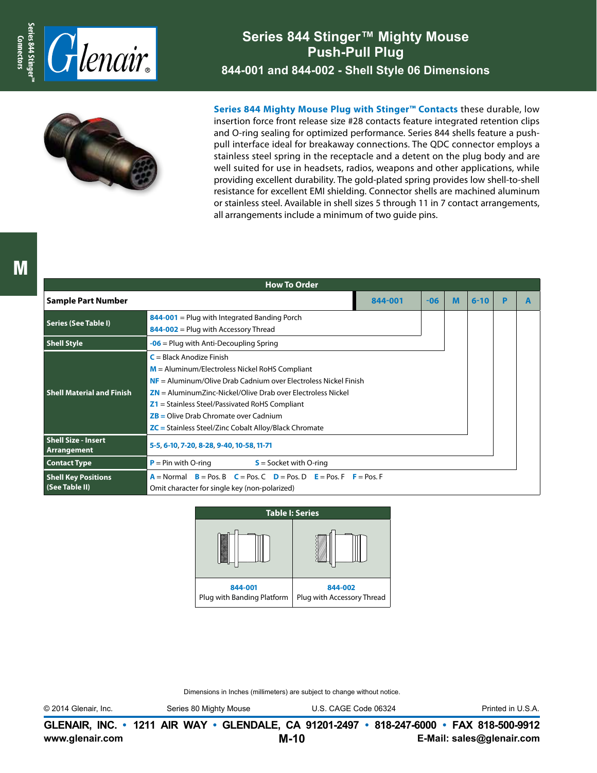

## **Series 844 Stinger™ Mighty Mouse Push-Pull Plug 844-001 and 844-002 - Shell Style 06 Dimensions**



**Series 844 Mighty Mouse Plug with Stinger™ Contacts** these durable, low insertion force front release size #28 contacts feature integrated retention clips and O-ring sealing for optimized performance. Series 844 shells feature a pushpull interface ideal for breakaway connections. The QDC connector employs a stainless steel spring in the receptacle and a detent on the plug body and are well suited for use in headsets, radios, weapons and other applications, while providing excellent durability. The gold-plated spring provides low shell-to-shell resistance for excellent EMI shielding. Connector shells are machined aluminum or stainless steel. Available in shell sizes 5 through 11 in 7 contact arrangements, all arrangements include a minimum of two guide pins.

| <b>How To Order</b>                       |                                                                               |         |       |   |          |   |  |  |  |
|-------------------------------------------|-------------------------------------------------------------------------------|---------|-------|---|----------|---|--|--|--|
| <b>Sample Part Number</b>                 |                                                                               | 844-001 | $-06$ | M | $6 - 10$ | P |  |  |  |
| <b>Series (See Table I)</b>               | $844-001$ = Plug with Integrated Banding Porch                                |         |       |   |          |   |  |  |  |
|                                           | $844-002$ = Plug with Accessory Thread                                        |         |       |   |          |   |  |  |  |
| <b>Shell Style</b>                        | $-06$ = Plug with Anti-Decoupling Spring                                      |         |       |   |          |   |  |  |  |
|                                           | $C = Black$ Anodize Finish                                                    |         |       |   |          |   |  |  |  |
|                                           | $M =$ Aluminum/Electroless Nickel RoHS Compliant                              |         |       |   |          |   |  |  |  |
|                                           | $NF =$ Aluminum/Olive Drab Cadnium over Electroless Nickel Finish             |         |       |   |          |   |  |  |  |
| <b>Shell Material and Finish</b>          | $ZN =$ Aluminum Zinc-Nickel/Olive Drab over Electroless Nickel                |         |       |   |          |   |  |  |  |
|                                           | $Z1$ = Stainless Steel/Passivated RoHS Compliant                              |         |       |   |          |   |  |  |  |
|                                           | $ZB =$ Olive Drab Chromate over Cadnium                                       |         |       |   |          |   |  |  |  |
|                                           | $\mathsf{ZC}$ = Stainless Steel/Zinc Cobalt Alloy/Black Chromate              |         |       |   |          |   |  |  |  |
| <b>Shell Size - Insert</b><br>Arrangement | 5-5, 6-10, 7-20, 8-28, 9-40, 10-58, 11-71                                     |         |       |   |          |   |  |  |  |
| <b>Contact Type</b>                       | $P = Pin$ with O-ring<br>$S =$ Socket with O-ring                             |         |       |   |          |   |  |  |  |
| <b>Shell Key Positions</b>                | $A =$ Normal $B =$ Pos. B $C =$ Pos. C $D =$ Pos. D $E =$ Pos. F $F =$ Pos. F |         |       |   |          |   |  |  |  |
| (See Table II)                            | Omit character for single key (non-polarized)                                 |         |       |   |          |   |  |  |  |



Dimensions in Inches (millimeters) are subject to change without notice.

© 2014 Glenair, Inc. Series 80 Mighty Mouse U.S. CAGE Code 06324 Printed in U.S.A.

**www.glenair.com E-Mail: sales@glenair.com GLENAIR, INC. • 1211 AIR WAY • GLENDALE, CA 91201-2497 • 818-247-6000 • FAX 818-500-9912 M-10**